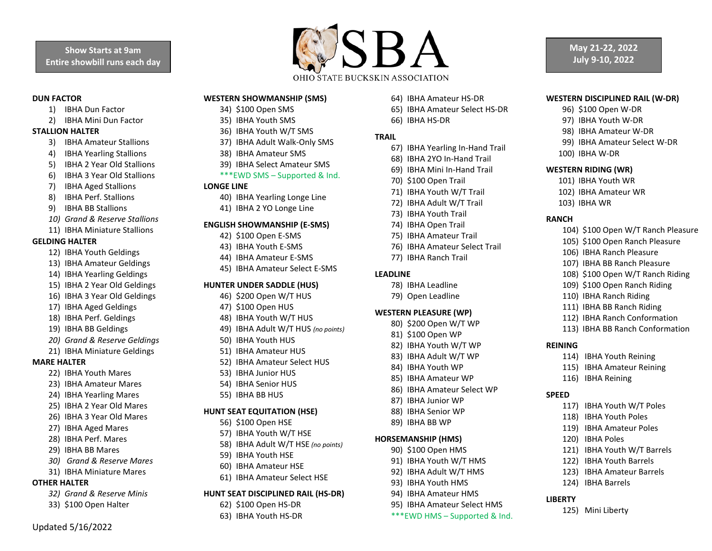#### **DUN FACTOR**

- 1) IBHA Dun Factor
- 2) IBHA Mini Dun Factor

# **STALLION HALTER**

- 3) IBHA Amateur Stallions
- 4) IBHA Yearling Stallions
- 5) IBHA 2 Year Old Stallions
- 6) IBHA 3 Year Old Stallions
- 7) IBHA Aged Stallions
- 8) IBHA Perf. Stallions
- 9) IBHA BB Stallions
- *10) Grand & Reserve Stallions*
- 11) IBHA Miniature Stallions

#### **GELDING HALTER**

- 12) IBHA Youth Geldings
- 13) IBHA Amateur Geldings
- 14) IBHA Yearling Geldings
- 15) IBHA 2 Year Old Geldings
- 16) IBHA 3 Year Old Geldings
- 17) IBHA Aged Geldings
- 18) IBHA Perf. Geldings
- 19) IBHA BB Geldings
- *20) Grand & Reserve Geldings*
- 21) IBHA Miniature Geldings

## **MARE HALTER**

- 22) IBHA Youth Mares
- 23) IBHA Amateur Mares
- 24) IBHA Yearling Mares
- 25) IBHA 2 Year Old Mares
- 26) IBHA 3 Year Old Mares
- 27) IBHA Aged Mares
- 28) IBHA Perf. Mares
- 29) IBHA BB Mares
- *30) Grand & Reserve Mares*
- 31) IBHA Miniature Mares

# **OTHER HALTER**

- *32) Grand & Reserve Minis*
- 33) \$100 Open Halter

Updated 5/16/2022



# **WESTERN SHOWMANSHIP (SMS)**

- 34) \$100 Open SMS
- 35) IBHA Youth SMS
- 36) IBHA Youth W/T SMS
- 37) IBHA Adult Walk-Only SMS
- 38) IBHA Amateur SMS
- 39) IBHA Select Amateur SMS

#### \*\*\*EWD SMS – Supported & Ind.

#### **LONGE LINE**

- 40) IBHA Yearling Longe Line
- 41) IBHA 2 YO Longe Line

#### **ENGLISH SHOWMANSHIP (E-SMS)**

- 42) \$100 Open E-SMS
- 43) IBHA Youth E-SMS
- 44) IBHA Amateur E-SMS
- 45) IBHA Amateur Select E-SMS

## **HUNTER UNDER SADDLE (HUS)**

- 46) \$200 Open W/T HUS
- 47) \$100 Open HUS
- 48) IBHA Youth W/T HUS
- 49) IBHA Adult W/T HUS *(no points)*
- 50) IBHA Youth HUS
- 51) IBHA Amateur HUS
- 52) IBHA Amateur Select HUS
- 53) IBHA Junior HUS
- 54) IBHA Senior HUS
- 55) IBHA BB HUS

#### **HUNT SEAT EQUITATION (HSE)**

- 56) \$100 Open HSE
- 57) IBHA Youth W/T HSE
- 58) IBHA Adult W/T HSE *(no points)*
- 59) IBHA Youth HSE
- 60) IBHA Amateur HSE
- 61) IBHA Amateur Select HSE

### **HUNT SEAT DISCIPLINED RAIL (HS-DR)**

- 62) \$100 Open HS-DR
- 63) IBHA Youth HS-DR
- 64) IBHA Amateur HS-DR
- 65) IBHA Amateur Select HS-DR

**WESTERN DISCIPLINED RAIL (W-DR)** 96) \$100 Open W-DR 97) IBHA Youth W-DR 98) IBHA Amateur W-DR 99) IBHA Amateur Select W-DR

**May 21-22, 2022 July 9-10, 2022**

104) \$100 Open W/T Ranch Pleasure 105) \$100 Open Ranch Pleasure 106) IBHA Ranch Pleasure 107) IBHA BB Ranch Pleasure 108) \$100 Open W/T Ranch Riding 109) \$100 Open Ranch Riding 110) IBHA Ranch Riding 111) IBHA BB Ranch Riding 112) IBHA Ranch Conformation 113) IBHA BB Ranch Conformation

114) IBHA Youth Reining 115) IBHA Amateur Reining

117) IBHA Youth W/T Poles 118) IBHA Youth Poles 119) IBHA Amateur Poles

121) IBHA Youth W/T Barrels 122) IBHA Youth Barrels 123) IBHA Amateur Barrels

116) IBHA Reining

120) IBHA Poles

124) IBHA Barrels

125) Mini Liberty

100) IBHA W-DR **WESTERN RIDING (WR)** 101) IBHA Youth WR 102) IBHA Amateur WR

103) IBHA WR

**RANCH**

**REINING**

**SPEED**

**LIBERTY**

66) IBHA HS-DR

#### **TRAIL**

- 67) IBHA Yearling In-Hand Trail
- 68) IBHA 2YO In-Hand Trail
- 69) IBHA Mini In-Hand Trail
- 70) \$100 Open Trail
- 71) IBHA Youth W/T Trail
- 72) IBHA Adult W/T Trail
- 73) IBHA Youth Trail
- 74) IBHA Open Trail
- 75) IBHA Amateur Trail
- 76) IBHA Amateur Select Trail
- 77) IBHA Ranch Trail

## **LEADLINE**

- 78) IBHA Leadline
- 79) Open Leadline

#### **WESTERN PLEASURE (WP)**

- 80) \$200 Open W/T WP
- 81) \$100 Open WP
- 82) IBHA Youth W/T WP
- 83) IBHA Adult W/T WP 84) IBHA Youth WP

85) IBHA Amateur WP 86) IBHA Amateur Select WP

87) IBHA Junior WP 88) IBHA Senior WP 89) IBHA BB WP **HORSEMANSHIP (HMS)** 90) \$100 Open HMS 91) IBHA Youth W/T HMS 92) IBHA Adult W/T HMS 93) IBHA Youth HMS 94) IBHA Amateur HMS 95) IBHA Amateur Select HMS \*\*\*EWD HMS – Supported & Ind.